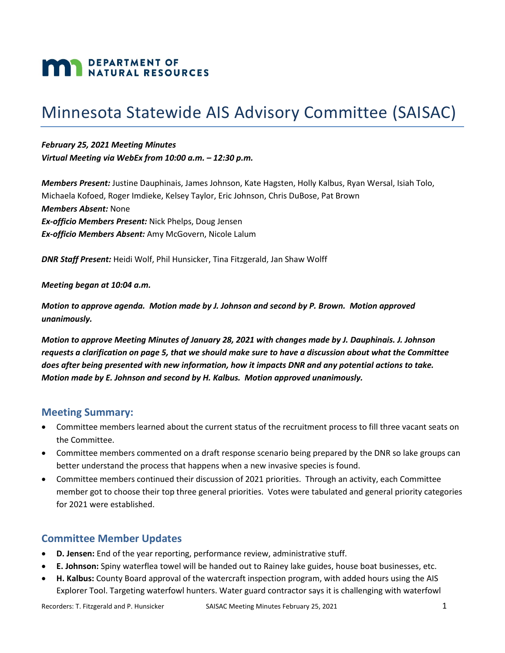# **MAN DEPARTMENT OF NATURAL RESOURCES**

## Minnesota Statewide AIS Advisory Committee (SAISAC)

*February 25, 2021 Meeting Minutes Virtual Meeting via WebEx from 10:00 a.m. – 12:30 p.m.*

*Members Present:* Justine Dauphinais, James Johnson, Kate Hagsten, Holly Kalbus, Ryan Wersal, Isiah Tolo, Michaela Kofoed, Roger Imdieke, Kelsey Taylor, Eric Johnson, Chris DuBose, Pat Brown *Members Absent:* None *Ex-officio Members Present:* Nick Phelps, Doug Jensen *Ex-officio Members Absent:* Amy McGovern, Nicole Lalum

*DNR Staff Present:* Heidi Wolf, Phil Hunsicker, Tina Fitzgerald, Jan Shaw Wolff

#### *Meeting began at 10:04 a.m.*

*Motion to approve agenda. Motion made by J. Johnson and second by P. Brown. Motion approved unanimously.*

*Motion to approve Meeting Minutes of January 28, 2021 with changes made by J. Dauphinais. J. Johnson requests a clarification on page 5, that we should make sure to have a discussion about what the Committee does after being presented with new information, how it impacts DNR and any potential actions to take. Motion made by E. Johnson and second by H. Kalbus. Motion approved unanimously.*

#### **Meeting Summary:**

- Committee members learned about the current status of the recruitment process to fill three vacant seats on the Committee.
- Committee members commented on a draft response scenario being prepared by the DNR so lake groups can better understand the process that happens when a new invasive species is found.
- Committee members continued their discussion of 2021 priorities. Through an activity, each Committee member got to choose their top three general priorities. Votes were tabulated and general priority categories for 2021 were established.

#### **Committee Member Updates**

- **D. Jensen:** End of the year reporting, performance review, administrative stuff.
- **E. Johnson:** Spiny waterflea towel will be handed out to Rainey lake guides, house boat businesses, etc.
- **H. Kalbus:** County Board approval of the watercraft inspection program, with added hours using the AIS Explorer Tool. Targeting waterfowl hunters. Water guard contractor says it is challenging with waterfowl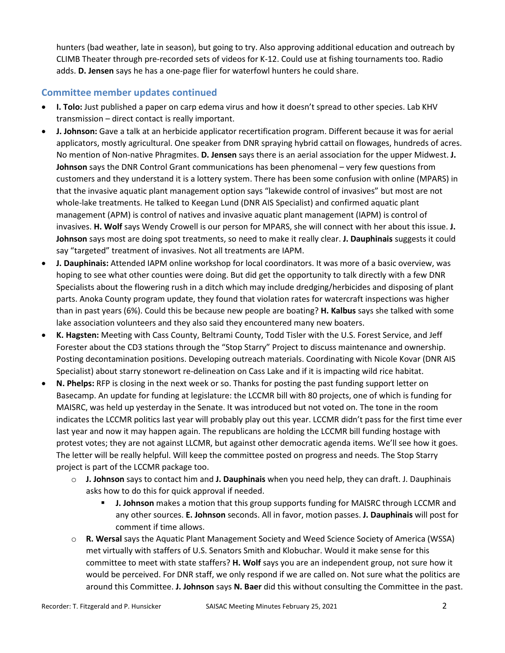hunters (bad weather, late in season), but going to try. Also approving additional education and outreach by CLIMB Theater through pre-recorded sets of videos for K-12. Could use at fishing tournaments too. Radio adds. **D. Jensen** says he has a one-page flier for waterfowl hunters he could share.

#### **Committee member updates continued**

- **I. Tolo:** Just published a paper on carp edema virus and how it doesn't spread to other species. Lab KHV transmission – direct contact is really important.
- **J. Johnson:** Gave a talk at an herbicide applicator recertification program. Different because it was for aerial applicators, mostly agricultural. One speaker from DNR spraying hybrid cattail on flowages, hundreds of acres. No mention of Non-native Phragmites. **D. Jensen** says there is an aerial association for the upper Midwest. **J. Johnson** says the DNR Control Grant communications has been phenomenal – very few questions from customers and they understand it is a lottery system. There has been some confusion with online (MPARS) in that the invasive aquatic plant management option says "lakewide control of invasives" but most are not whole-lake treatments. He talked to Keegan Lund (DNR AIS Specialist) and confirmed aquatic plant management (APM) is control of natives and invasive aquatic plant management (IAPM) is control of invasives. **H. Wolf** says Wendy Crowell is our person for MPARS, she will connect with her about this issue. **J. Johnson** says most are doing spot treatments, so need to make it really clear. **J. Dauphinais** suggests it could say "targeted" treatment of invasives. Not all treatments are IAPM.
- **J. Dauphinais:** Attended IAPM online workshop for local coordinators. It was more of a basic overview, was hoping to see what other counties were doing. But did get the opportunity to talk directly with a few DNR Specialists about the flowering rush in a ditch which may include dredging/herbicides and disposing of plant parts. Anoka County program update, they found that violation rates for watercraft inspections was higher than in past years (6%). Could this be because new people are boating? **H. Kalbus** says she talked with some lake association volunteers and they also said they encountered many new boaters.
- **K. Hagsten:** Meeting with Cass County, Beltrami County, Todd Tisler with the U.S. Forest Service, and Jeff Forester about the CD3 stations through the "Stop Starry" Project to discuss maintenance and ownership. Posting decontamination positions. Developing outreach materials. Coordinating with Nicole Kovar (DNR AIS Specialist) about starry stonewort re-delineation on Cass Lake and if it is impacting wild rice habitat.
- **N. Phelps:** RFP is closing in the next week or so. Thanks for posting the past funding support letter on Basecamp. An update for funding at legislature: the LCCMR bill with 80 projects, one of which is funding for MAISRC, was held up yesterday in the Senate. It was introduced but not voted on. The tone in the room indicates the LCCMR politics last year will probably play out this year. LCCMR didn't pass for the first time ever last year and now it may happen again. The republicans are holding the LCCMR bill funding hostage with protest votes; they are not against LLCMR, but against other democratic agenda items. We'll see how it goes. The letter will be really helpful. Will keep the committee posted on progress and needs. The Stop Starry project is part of the LCCMR package too.
	- o **J. Johnson** says to contact him and **J. Dauphinais** when you need help, they can draft. J. Dauphinais asks how to do this for quick approval if needed.
		- **J. Johnson** makes a motion that this group supports funding for MAISRC through LCCMR and any other sources. **E. Johnson** seconds. All in favor, motion passes. **J. Dauphinais** will post for comment if time allows.
	- o **R. Wersal** says the Aquatic Plant Management Society and Weed Science Society of America (WSSA) met virtually with staffers of U.S. Senators Smith and Klobuchar. Would it make sense for this committee to meet with state staffers? **H. Wolf** says you are an independent group, not sure how it would be perceived. For DNR staff, we only respond if we are called on. Not sure what the politics are around this Committee. **J. Johnson** says **N. Baer** did this without consulting the Committee in the past.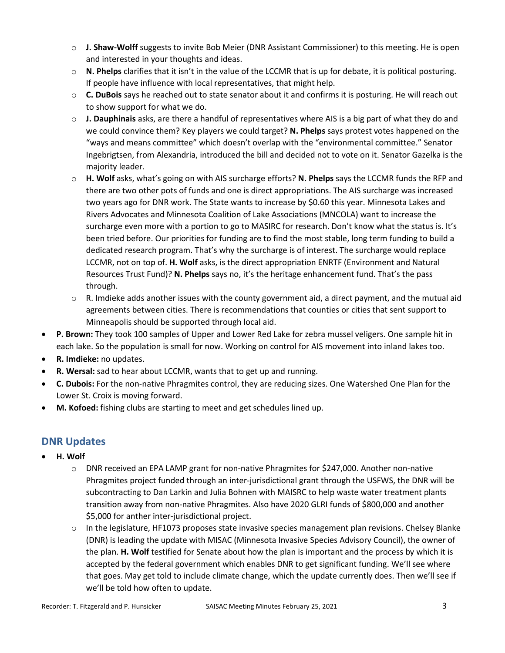- o **J. Shaw-Wolff** suggests to invite Bob Meier (DNR Assistant Commissioner) to this meeting. He is open and interested in your thoughts and ideas.
- o **N. Phelps** clarifies that it isn't in the value of the LCCMR that is up for debate, it is political posturing. If people have influence with local representatives, that might help.
- o **C. DuBois** says he reached out to state senator about it and confirms it is posturing. He will reach out to show support for what we do.
- o **J. Dauphinais** asks, are there a handful of representatives where AIS is a big part of what they do and we could convince them? Key players we could target? **N. Phelps** says protest votes happened on the "ways and means committee" which doesn't overlap with the "environmental committee." Senator Ingebrigtsen, from Alexandria, introduced the bill and decided not to vote on it. Senator Gazelka is the majority leader.
- o **H. Wolf** asks, what's going on with AIS surcharge efforts? **N. Phelps** says the LCCMR funds the RFP and there are two other pots of funds and one is direct appropriations. The AIS surcharge was increased two years ago for DNR work. The State wants to increase by \$0.60 this year. Minnesota Lakes and Rivers Advocates and Minnesota Coalition of Lake Associations (MNCOLA) want to increase the surcharge even more with a portion to go to MASIRC for research. Don't know what the status is. It's been tried before. Our priorities for funding are to find the most stable, long term funding to build a dedicated research program. That's why the surcharge is of interest. The surcharge would replace LCCMR, not on top of. **H. Wolf** asks, is the direct appropriation ENRTF (Environment and Natural Resources Trust Fund)? **N. Phelps** says no, it's the heritage enhancement fund. That's the pass through.
- $\circ$  R. Imdieke adds another issues with the county government aid, a direct payment, and the mutual aid agreements between cities. There is recommendations that counties or cities that sent support to Minneapolis should be supported through local aid.
- **P. Brown:** They took 100 samples of Upper and Lower Red Lake for zebra mussel veligers. One sample hit in each lake. So the population is small for now. Working on control for AIS movement into inland lakes too.
- **R. Imdieke:** no updates.
- **R. Wersal:** sad to hear about LCCMR, wants that to get up and running.
- **C. Dubois:** For the non-native Phragmites control, they are reducing sizes. One Watershed One Plan for the Lower St. Croix is moving forward.
- **M. Kofoed:** fishing clubs are starting to meet and get schedules lined up.

#### **DNR Updates**

- **H. Wolf** 
	- o DNR received an EPA LAMP grant for non-native Phragmites for \$247,000. Another non-native Phragmites project funded through an inter-jurisdictional grant through the USFWS, the DNR will be subcontracting to Dan Larkin and Julia Bohnen with MAISRC to help waste water treatment plants transition away from non-native Phragmites. Also have 2020 GLRI funds of \$800,000 and another \$5,000 for anther inter-jurisdictional project.
	- $\circ$  In the legislature, HF1073 proposes state invasive species management plan revisions. Chelsey Blanke (DNR) is leading the update with MISAC (Minnesota Invasive Species Advisory Council), the owner of the plan. **H. Wolf** testified for Senate about how the plan is important and the process by which it is accepted by the federal government which enables DNR to get significant funding. We'll see where that goes. May get told to include climate change, which the update currently does. Then we'll see if we'll be told how often to update.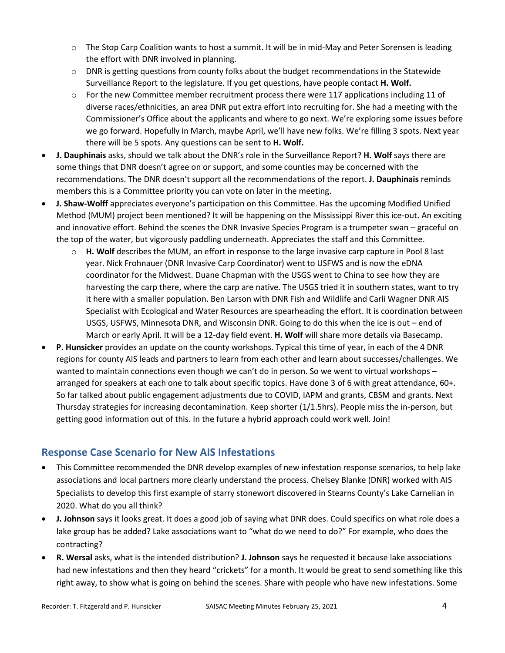- $\circ$  The Stop Carp Coalition wants to host a summit. It will be in mid-May and Peter Sorensen is leading the effort with DNR involved in planning.
- $\circ$  DNR is getting questions from county folks about the budget recommendations in the Statewide Surveillance Report to the legislature. If you get questions, have people contact **H. Wolf.**
- $\circ$  For the new Committee member recruitment process there were 117 applications including 11 of diverse races/ethnicities, an area DNR put extra effort into recruiting for. She had a meeting with the Commissioner's Office about the applicants and where to go next. We're exploring some issues before we go forward. Hopefully in March, maybe April, we'll have new folks. We're filling 3 spots. Next year there will be 5 spots. Any questions can be sent to **H. Wolf.**
- **J. Dauphinais** asks, should we talk about the DNR's role in the Surveillance Report? **H. Wolf** says there are some things that DNR doesn't agree on or support, and some counties may be concerned with the recommendations. The DNR doesn't support all the recommendations of the report. **J. Dauphinais** reminds members this is a Committee priority you can vote on later in the meeting.
- **J. Shaw-Wolff** appreciates everyone's participation on this Committee. Has the upcoming Modified Unified Method (MUM) project been mentioned? It will be happening on the Mississippi River this ice-out. An exciting and innovative effort. Behind the scenes the DNR Invasive Species Program is a trumpeter swan – graceful on the top of the water, but vigorously paddling underneath. Appreciates the staff and this Committee.
	- o **H. Wolf** describes the MUM, an effort in response to the large invasive carp capture in Pool 8 last year. Nick Frohnauer (DNR Invasive Carp Coordinator) went to USFWS and is now the eDNA coordinator for the Midwest. Duane Chapman with the USGS went to China to see how they are harvesting the carp there, where the carp are native. The USGS tried it in southern states, want to try it here with a smaller population. Ben Larson with DNR Fish and Wildlife and Carli Wagner DNR AIS Specialist with Ecological and Water Resources are spearheading the effort. It is coordination between USGS, USFWS, Minnesota DNR, and Wisconsin DNR. Going to do this when the ice is out – end of March or early April. It will be a 12-day field event. **H. Wolf** will share more details via Basecamp.
- **P. Hunsicker** provides an update on the county workshops. Typical this time of year, in each of the 4 DNR regions for county AIS leads and partners to learn from each other and learn about successes/challenges. We wanted to maintain connections even though we can't do in person. So we went to virtual workshops arranged for speakers at each one to talk about specific topics. Have done 3 of 6 with great attendance, 60+. So far talked about public engagement adjustments due to COVID, IAPM and grants, CBSM and grants. Next Thursday strategies for increasing decontamination. Keep shorter (1/1.5hrs). People miss the in-person, but getting good information out of this. In the future a hybrid approach could work well. Join!

### **Response Case Scenario for New AIS Infestations**

- This Committee recommended the DNR develop examples of new infestation response scenarios, to help lake associations and local partners more clearly understand the process. Chelsey Blanke (DNR) worked with AIS Specialists to develop this first example of starry stonewort discovered in Stearns County's Lake Carnelian in 2020. What do you all think?
- **J. Johnson** says it looks great. It does a good job of saying what DNR does. Could specifics on what role does a lake group has be added? Lake associations want to "what do we need to do?" For example, who does the contracting?
- **R. Wersal** asks, what is the intended distribution? **J. Johnson** says he requested it because lake associations had new infestations and then they heard "crickets" for a month. It would be great to send something like this right away, to show what is going on behind the scenes. Share with people who have new infestations. Some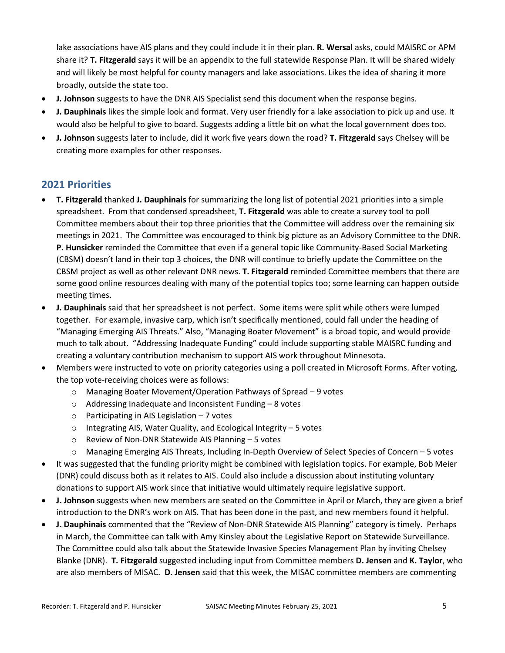lake associations have AIS plans and they could include it in their plan. **R. Wersal** asks, could MAISRC or APM share it? **T. Fitzgerald** says it will be an appendix to the full statewide Response Plan. It will be shared widely and will likely be most helpful for county managers and lake associations. Likes the idea of sharing it more broadly, outside the state too.

- **J. Johnson** suggests to have the DNR AIS Specialist send this document when the response begins.
- **J. Dauphinais** likes the simple look and format. Very user friendly for a lake association to pick up and use. It would also be helpful to give to board. Suggests adding a little bit on what the local government does too.
- **J. Johnson** suggests later to include, did it work five years down the road? **T. Fitzgerald** says Chelsey will be creating more examples for other responses.

#### **2021 Priorities**

- **T. Fitzgerald** thanked **J. Dauphinais** for summarizing the long list of potential 2021 priorities into a simple spreadsheet. From that condensed spreadsheet, **T. Fitzgerald** was able to create a survey tool to poll Committee members about their top three priorities that the Committee will address over the remaining six meetings in 2021. The Committee was encouraged to think big picture as an Advisory Committee to the DNR. **P. Hunsicker** reminded the Committee that even if a general topic like Community-Based Social Marketing (CBSM) doesn't land in their top 3 choices, the DNR will continue to briefly update the Committee on the CBSM project as well as other relevant DNR news. **T. Fitzgerald** reminded Committee members that there are some good online resources dealing with many of the potential topics too; some learning can happen outside meeting times.
- **J. Dauphinais** said that her spreadsheet is not perfect. Some items were split while others were lumped together. For example, invasive carp, which isn't specifically mentioned, could fall under the heading of "Managing Emerging AIS Threats." Also, "Managing Boater Movement" is a broad topic, and would provide much to talk about. "Addressing Inadequate Funding" could include supporting stable MAISRC funding and creating a voluntary contribution mechanism to support AIS work throughout Minnesota.
- Members were instructed to vote on priority categories using a poll created in Microsoft Forms. After voting, the top vote-receiving choices were as follows:
	- o Managing Boater Movement/Operation Pathways of Spread 9 votes
	- o Addressing Inadequate and Inconsistent Funding 8 votes
	- $\circ$  Participating in AIS Legislation 7 votes
	- o Integrating AIS, Water Quality, and Ecological Integrity 5 votes
	- o Review of Non-DNR Statewide AIS Planning 5 votes
	- o Managing Emerging AIS Threats, Including In-Depth Overview of Select Species of Concern 5 votes
- It was suggested that the funding priority might be combined with legislation topics. For example, Bob Meier (DNR) could discuss both as it relates to AIS. Could also include a discussion about instituting voluntary donations to support AIS work since that initiative would ultimately require legislative support.
- **J. Johnson** suggests when new members are seated on the Committee in April or March, they are given a brief introduction to the DNR's work on AIS. That has been done in the past, and new members found it helpful.
- **J. Dauphinais** commented that the "Review of Non-DNR Statewide AIS Planning" category is timely. Perhaps in March, the Committee can talk with Amy Kinsley about the Legislative Report on Statewide Surveillance. The Committee could also talk about the Statewide Invasive Species Management Plan by inviting Chelsey Blanke (DNR). **T. Fitzgerald** suggested including input from Committee members **D. Jensen** and **K. Taylor**, who are also members of MISAC. **D. Jensen** said that this week, the MISAC committee members are commenting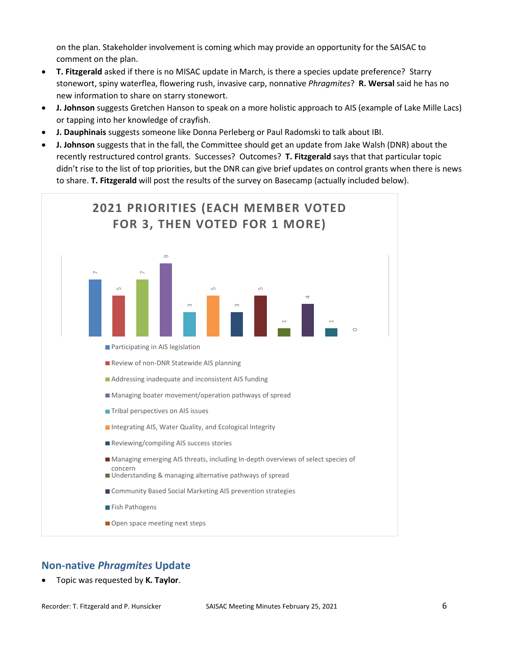on the plan. Stakeholder involvement is coming which may provide an opportunity for the SAISAC to comment on the plan.

- **T. Fitzgerald** asked if there is no MISAC update in March, is there a species update preference? Starry stonewort, spiny waterflea, flowering rush, invasive carp, nonnative *Phragmites*? **R. Wersal** said he has no new information to share on starry stonewort.
- **J. Johnson** suggests Gretchen Hanson to speak on a more holistic approach to AIS (example of Lake Mille Lacs) or tapping into her knowledge of crayfish.
- **J. Dauphinais** suggests someone like Donna Perleberg or Paul Radomski to talk about IBI.
- **J. Johnson** suggests that in the fall, the Committee should get an update from Jake Walsh (DNR) about the recently restructured control grants. Successes? Outcomes? **T. Fitzgerald** says that that particular topic didn't rise to the list of top priorities, but the DNR can give brief updates on control grants when there is news to share. **T. Fitzgerald** will post the results of the survey on Basecamp (actually included below).



#### **Non-native** *Phragmites* **Update**

• Topic was requested by **K. Taylor**.